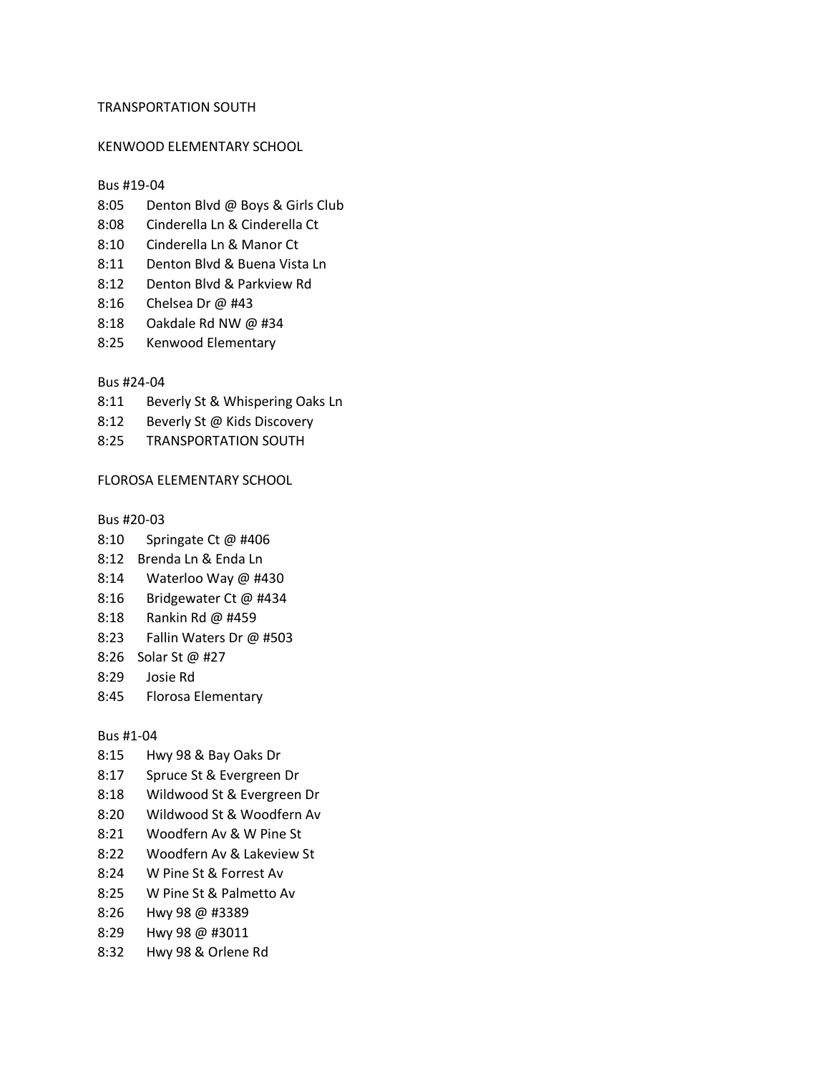### TRANSPORTATION SOUTH

#### KENWOOD ELEMENTARY SCHOOL

#### Bus #19-04

- 8:05 Denton Blvd @ Boys & Girls Club
- 8:08 Cinderella Ln & Cinderella Ct
- 8:10 Cinderella Ln & Manor Ct
- 8:11 Denton Blvd & Buena Vista Ln
- 8:12 Denton Blvd & Parkview Rd
- 8:16 Chelsea Dr @ #43
- 8:18 Oakdale Rd NW @ #34
- 8:25 Kenwood Elementary

### Bus #24-04

- 8:11 Beverly St & Whispering Oaks Ln
- 8:12 Beverly St @ Kids Discovery
- 8:25 TRANSPORTATION SOUTH

## FLOROSA ELEMENTARY SCHOOL

Bus #20-03

- 8:10 Springate Ct @ #406
- 8:12 Brenda Ln & Enda Ln
- 8:14 Waterloo Way @ #430
- 8:16 Bridgewater Ct @ #434
- 8:18 Rankin Rd @ #459
- 8:23 Fallin Waters Dr @ #503
- 8:26 Solar St @ #27
- 8:29 Josie Rd
- 8:45 Florosa Elementary

#### Bus #1-04

- 8:15 Hwy 98 & Bay Oaks Dr
- 8:17 Spruce St & Evergreen Dr
- 8:18 Wildwood St & Evergreen Dr
- 8:20 Wildwood St & Woodfern Av
- 8:21 Woodfern Av & W Pine St
- 8:22 Woodfern Av & Lakeview St
- 8:24 W Pine St & Forrest Av
- 8:25 W Pine St & Palmetto Av
- 8:26 Hwy 98 @ #3389
- 8:29 Hwy 98 @ #3011
- 8:32 Hwy 98 & Orlene Rd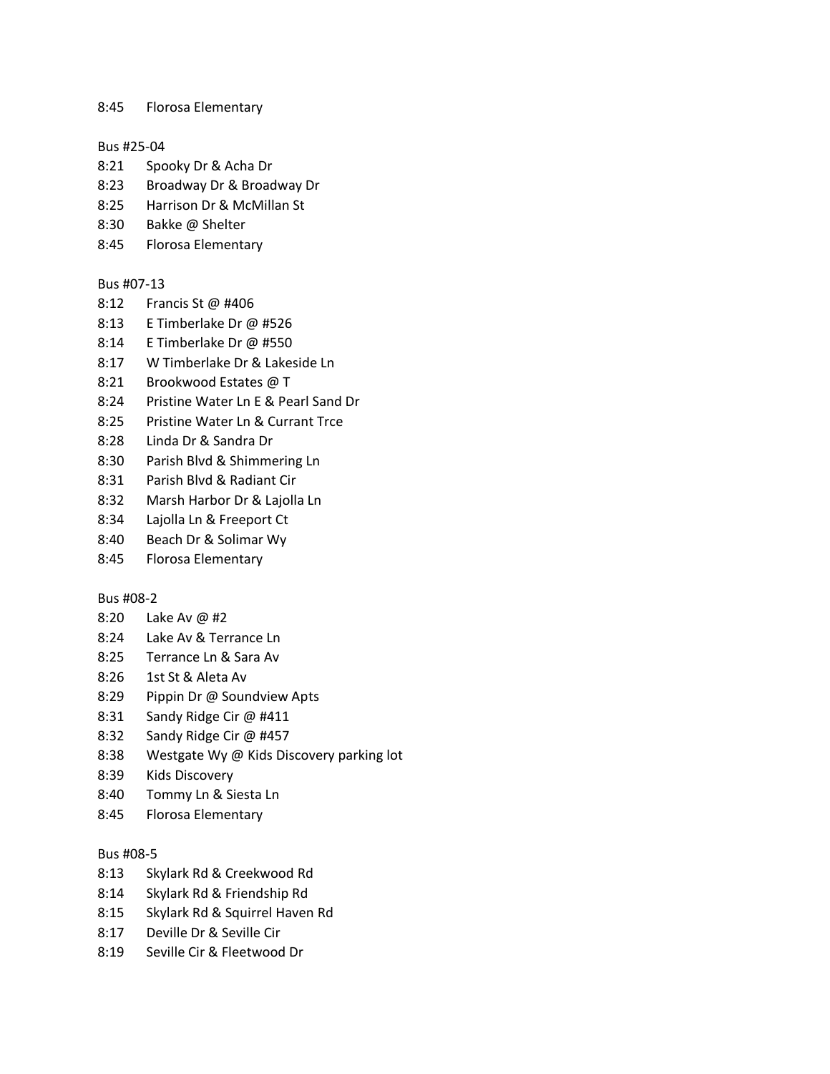8:45 Florosa Elementary

#### Bus #25-04

- 8:21 Spooky Dr & Acha Dr
- 8:23 Broadway Dr & Broadway Dr
- 8:25 Harrison Dr & McMillan St
- 8:30 Bakke @ Shelter
- 8:45 Florosa Elementary

# Bus #07-13

- 8:12 Francis St @ #406
- 8:13 E Timberlake Dr @ #526
- 8:14 E Timberlake Dr @ #550
- 8:17 W Timberlake Dr & Lakeside Ln
- 8:21 Brookwood Estates @ T
- 8:24 Pristine Water Ln E & Pearl Sand Dr
- 8:25 Pristine Water Ln & Currant Trce
- 8:28 Linda Dr & Sandra Dr
- 8:30 Parish Blvd & Shimmering Ln
- 8:31 Parish Blvd & Radiant Cir
- 8:32 Marsh Harbor Dr & Lajolla Ln
- 8:34 Lajolla Ln & Freeport Ct
- 8:40 Beach Dr & Solimar Wy
- 8:45 Florosa Elementary

#### Bus #08-2

- 8:20 Lake Av @ #2
- 8:24 Lake Av & Terrance Ln
- 8:25 Terrance Ln & Sara Av
- 8:26 1st St & Aleta Av
- 8:29 Pippin Dr @ Soundview Apts
- 8:31 Sandy Ridge Cir @ #411
- 8:32 Sandy Ridge Cir @ #457
- 8:38 Westgate Wy @ Kids Discovery parking lot
- 8:39 Kids Discovery
- 8:40 Tommy Ln & Siesta Ln
- 8:45 Florosa Elementary

### Bus #08-5

- 8:13 Skylark Rd & Creekwood Rd
- 8:14 Skylark Rd & Friendship Rd
- 8:15 Skylark Rd & Squirrel Haven Rd
- 8:17 Deville Dr & Seville Cir
- 8:19 Seville Cir & Fleetwood Dr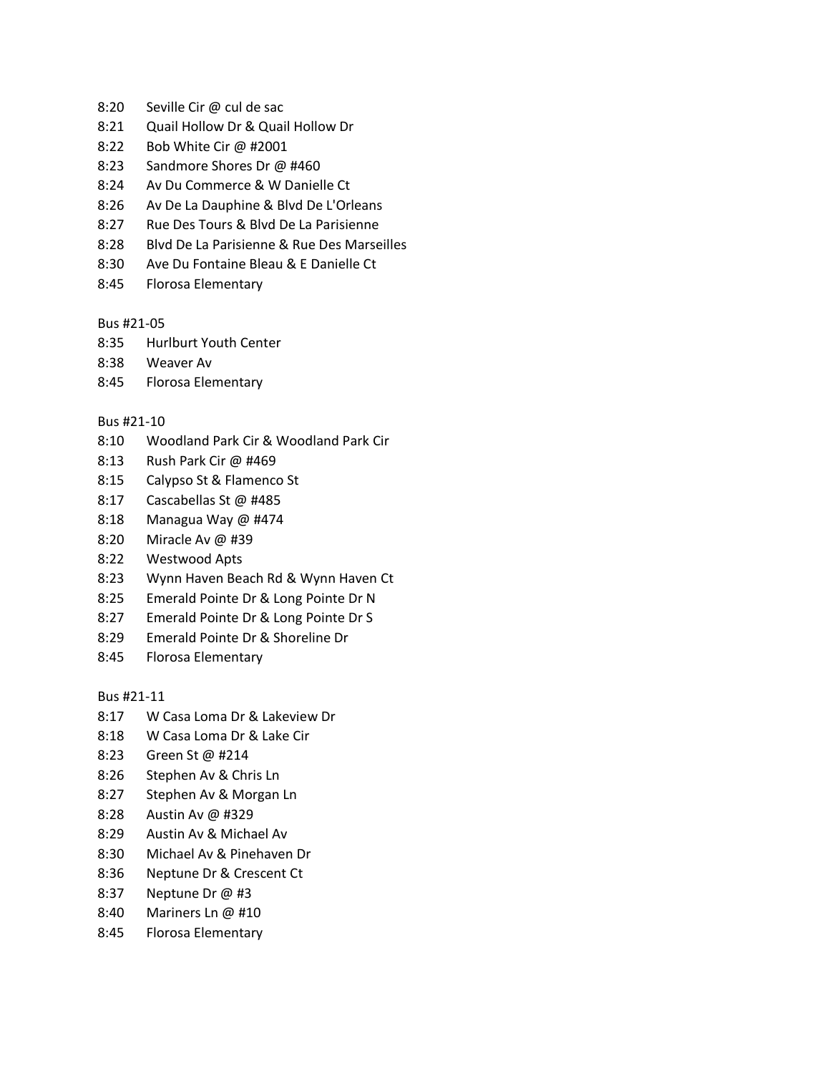- 8:20 Seville Cir @ cul de sac
- 8:21 Quail Hollow Dr & Quail Hollow Dr
- 8:22 Bob White Cir @ #2001
- 8:23 Sandmore Shores Dr @ #460
- 8:24 Av Du Commerce & W Danielle Ct
- 8:26 Av De La Dauphine & Blvd De L'Orleans
- 8:27 Rue Des Tours & Blvd De La Parisienne
- 8:28 Blvd De La Parisienne & Rue Des Marseilles
- 8:30 Ave Du Fontaine Bleau & E Danielle Ct
- 8:45 Florosa Elementary

## Bus #21-05

- 8:35 Hurlburt Youth Center
- 8:38 Weaver Av
- 8:45 Florosa Elementary

# Bus #21-10

- 8:10 Woodland Park Cir & Woodland Park Cir
- 8:13 Rush Park Cir @ #469
- 8:15 Calypso St & Flamenco St
- 8:17 Cascabellas St @ #485
- 8:18 Managua Way @ #474
- 8:20 Miracle Av @ #39
- 8:22 Westwood Apts
- 8:23 Wynn Haven Beach Rd & Wynn Haven Ct
- 8:25 Emerald Pointe Dr & Long Pointe Dr N
- 8:27 Emerald Pointe Dr & Long Pointe Dr S
- 8:29 Emerald Pointe Dr & Shoreline Dr
- 8:45 Florosa Elementary

Bus #21-11

- 8:17 W Casa Loma Dr & Lakeview Dr
- 8:18 W Casa Loma Dr & Lake Cir
- 8:23 Green St @ #214
- 8:26 Stephen Av & Chris Ln
- 8:27 Stephen Av & Morgan Ln
- 8:28 Austin Av @ #329
- 8:29 Austin Av & Michael Av
- 8:30 Michael Av & Pinehaven Dr
- 8:36 Neptune Dr & Crescent Ct
- 8:37 Neptune Dr @ #3
- 8:40 Mariners Ln @ #10
- 8:45 Florosa Elementary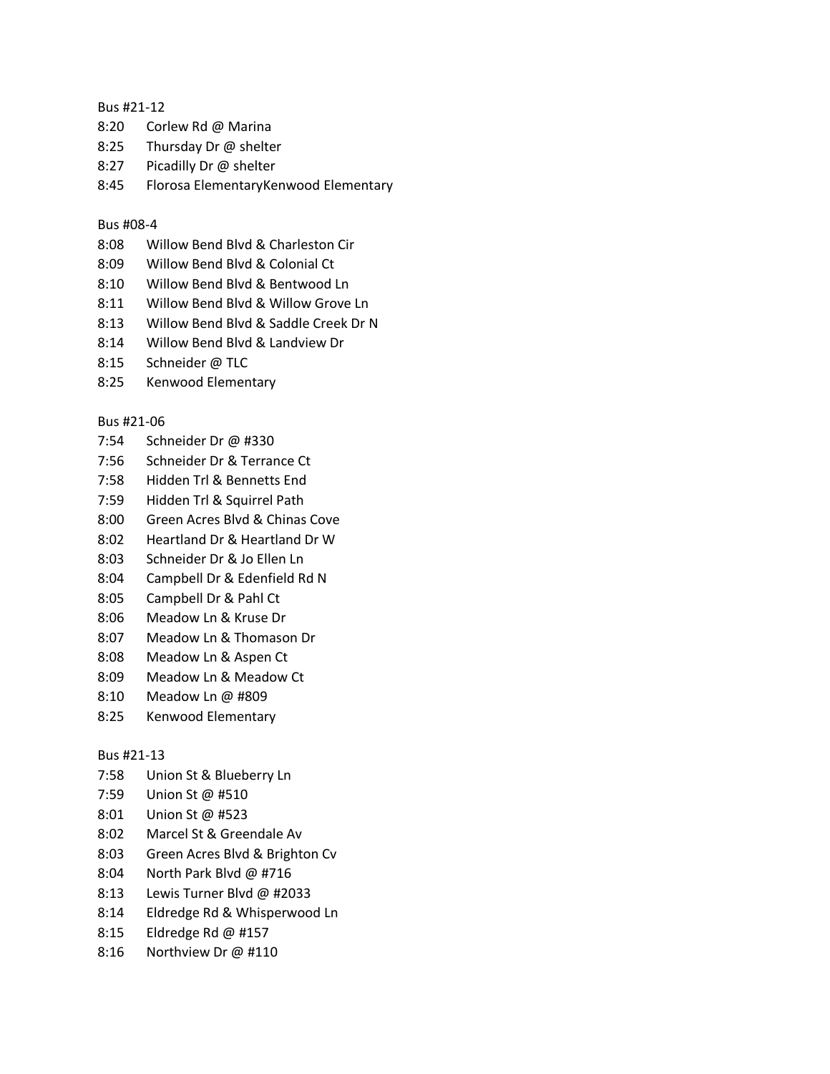## Bus #21-12

- 8:20 Corlew Rd @ Marina
- 8:25 Thursday Dr @ shelter
- 8:27 Picadilly Dr @ shelter
- 8:45 Florosa ElementaryKenwood Elementary

## Bus #08-4

- 8:08 Willow Bend Blvd & Charleston Cir
- 8:09 Willow Bend Blvd & Colonial Ct
- 8:10 Willow Bend Blvd & Bentwood Ln
- 8:11 Willow Bend Blvd & Willow Grove Ln
- 8:13 Willow Bend Blvd & Saddle Creek Dr N
- 8:14 Willow Bend Blvd & Landview Dr
- 8:15 Schneider @ TLC
- 8:25 Kenwood Elementary

# Bus #21-06

- 7:54 Schneider Dr @ #330
- 7:56 Schneider Dr & Terrance Ct
- 7:58 Hidden Trl & Bennetts End
- 7:59 Hidden Trl & Squirrel Path
- 8:00 Green Acres Blvd & Chinas Cove
- 8:02 Heartland Dr & Heartland Dr W
- 8:03 Schneider Dr & Jo Ellen Ln
- 8:04 Campbell Dr & Edenfield Rd N
- 8:05 Campbell Dr & Pahl Ct
- 8:06 Meadow Ln & Kruse Dr
- 8:07 Meadow Ln & Thomason Dr
- 8:08 Meadow Ln & Aspen Ct
- 8:09 Meadow Ln & Meadow Ct
- 8:10 Meadow Ln @ #809
- 8:25 Kenwood Elementary

## Bus #21-13

- 7:58 Union St & Blueberry Ln
- 7:59 Union St @ #510
- 8:01 Union St @ #523
- 8:02 Marcel St & Greendale Av
- 8:03 Green Acres Blvd & Brighton Cv
- 8:04 North Park Blvd @ #716
- 8:13 Lewis Turner Blvd @ #2033
- 8:14 Eldredge Rd & Whisperwood Ln
- 8:15 Eldredge Rd @ #157
- 8:16 Northview Dr @ #110